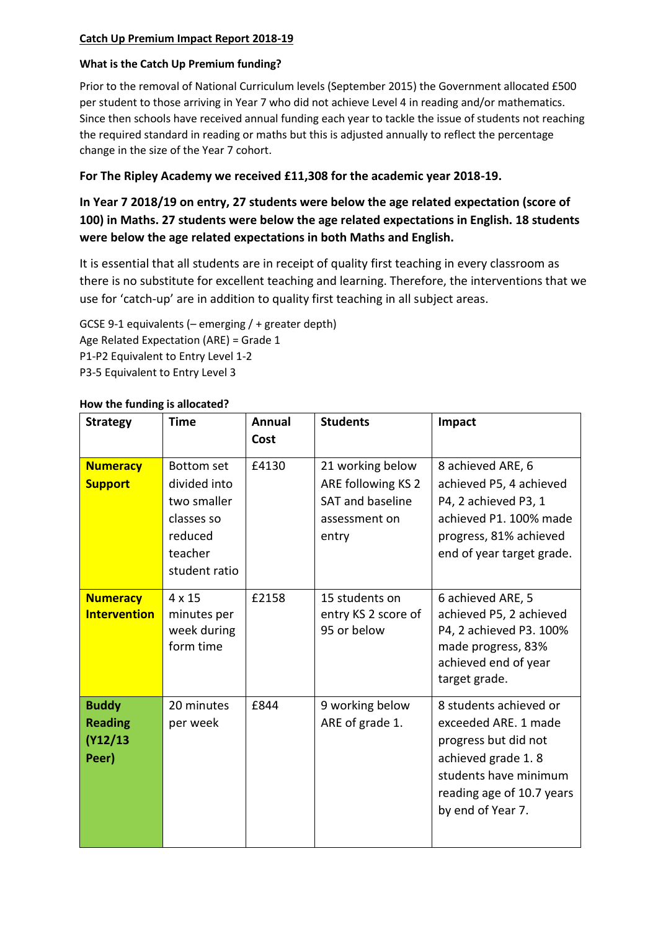### **Catch Up Premium Impact Report 2018-19**

#### **What is the Catch Up Premium funding?**

Prior to the removal of National Curriculum levels (September 2015) the Government allocated £500 per student to those arriving in Year 7 who did not achieve Level 4 in reading and/or mathematics. Since then schools have received annual funding each year to tackle the issue of students not reaching the required standard in reading or maths but this is adjusted annually to reflect the percentage change in the size of the Year 7 cohort.

## **For The Ripley Academy we received £11,308 for the academic year 2018-19.**

# **In Year 7 2018/19 on entry, 27 students were below the age related expectation (score of 100) in Maths. 27 students were below the age related expectations in English. 18 students were below the age related expectations in both Maths and English.**

It is essential that all students are in receipt of quality first teaching in every classroom as there is no substitute for excellent teaching and learning. Therefore, the interventions that we use for 'catch-up' are in addition to quality first teaching in all subject areas.

GCSE 9-1 equivalents (– emerging / + greater depth) Age Related Expectation (ARE) = Grade 1 P1-P2 Equivalent to Entry Level 1-2 P3-5 Equivalent to Entry Level 3

| <b>Strategy</b>                                     | Time                                                                                                  | <b>Annual</b><br>Cost | <b>Students</b>                                                                      | Impact                                                                                                                                                                  |
|-----------------------------------------------------|-------------------------------------------------------------------------------------------------------|-----------------------|--------------------------------------------------------------------------------------|-------------------------------------------------------------------------------------------------------------------------------------------------------------------------|
| <b>Numeracy</b><br><b>Support</b>                   | <b>Bottom set</b><br>divided into<br>two smaller<br>classes so<br>reduced<br>teacher<br>student ratio | £4130                 | 21 working below<br>ARE following KS 2<br>SAT and baseline<br>assessment on<br>entry | 8 achieved ARE, 6<br>achieved P5, 4 achieved<br>P4, 2 achieved P3, 1<br>achieved P1. 100% made<br>progress, 81% achieved<br>end of year target grade.                   |
| <b>Numeracy</b><br><b>Intervention</b>              | 4 x 15<br>minutes per<br>week during<br>form time                                                     | £2158                 | 15 students on<br>entry KS 2 score of<br>95 or below                                 | 6 achieved ARE, 5<br>achieved P5, 2 achieved<br>P4, 2 achieved P3. 100%<br>made progress, 83%<br>achieved end of year<br>target grade.                                  |
| <b>Buddy</b><br><b>Reading</b><br>(Y12/13)<br>Peer) | 20 minutes<br>per week                                                                                | £844                  | 9 working below<br>ARE of grade 1.                                                   | 8 students achieved or<br>exceeded ARE. 1 made<br>progress but did not<br>achieved grade 1.8<br>students have minimum<br>reading age of 10.7 years<br>by end of Year 7. |

#### **How the funding is allocated?**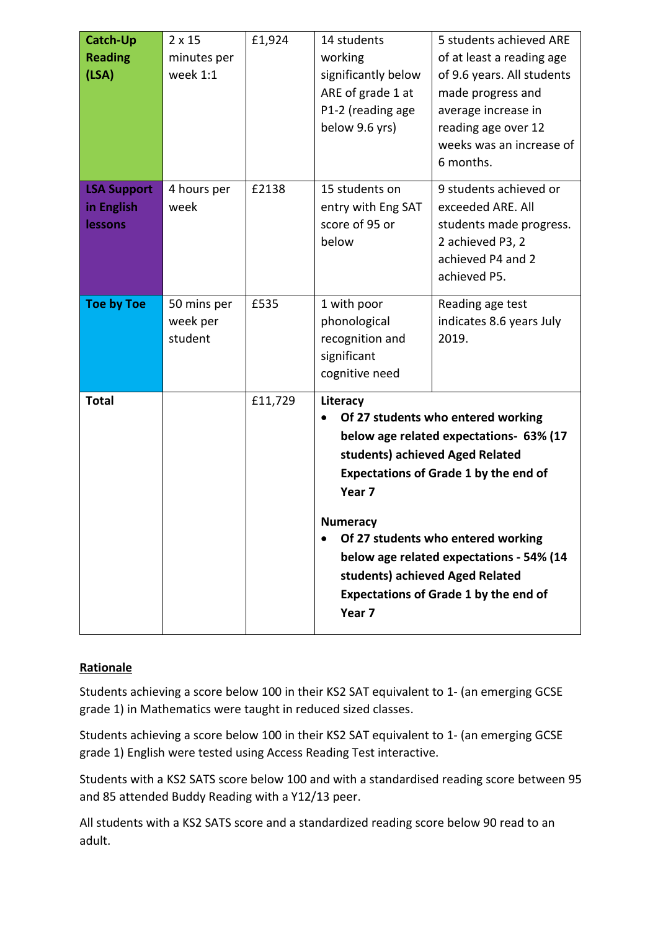| <b>Catch-Up</b><br><b>Reading</b><br>(LSA)  | $2 \times 15$<br>minutes per<br>week 1:1 | £1,924  | 14 students<br>working<br>significantly below<br>ARE of grade 1 at<br>P1-2 (reading age<br>below 9.6 yrs)                                                                                                                                                                                                                                                                                                 | 5 students achieved ARE<br>of at least a reading age<br>of 9.6 years. All students<br>made progress and<br>average increase in<br>reading age over 12<br>weeks was an increase of<br>6 months. |
|---------------------------------------------|------------------------------------------|---------|-----------------------------------------------------------------------------------------------------------------------------------------------------------------------------------------------------------------------------------------------------------------------------------------------------------------------------------------------------------------------------------------------------------|------------------------------------------------------------------------------------------------------------------------------------------------------------------------------------------------|
| <b>LSA Support</b><br>in English<br>lessons | 4 hours per<br>week                      | £2138   | 15 students on<br>entry with Eng SAT<br>score of 95 or<br>below                                                                                                                                                                                                                                                                                                                                           | 9 students achieved or<br>exceeded ARE. All<br>students made progress.<br>2 achieved P3, 2<br>achieved P4 and 2<br>achieved P5.                                                                |
| <b>Toe by Toe</b>                           | 50 mins per<br>week per<br>student       | £535    | 1 with poor<br>phonological<br>recognition and<br>significant<br>cognitive need                                                                                                                                                                                                                                                                                                                           | Reading age test<br>indicates 8.6 years July<br>2019.                                                                                                                                          |
| <b>Total</b>                                |                                          | £11,729 | Literacy<br>Of 27 students who entered working<br>below age related expectations- 63% (17<br>students) achieved Aged Related<br><b>Expectations of Grade 1 by the end of</b><br>Year <sub>7</sub><br>Numeracv<br>Of 27 students who entered working<br>$\bullet$<br>below age related expectations - 54% (14<br>students) achieved Aged Related<br><b>Expectations of Grade 1 by the end of</b><br>Year 7 |                                                                                                                                                                                                |

## **Rationale**

Students achieving a score below 100 in their KS2 SAT equivalent to 1- (an emerging GCSE grade 1) in Mathematics were taught in reduced sized classes.

Students achieving a score below 100 in their KS2 SAT equivalent to 1- (an emerging GCSE grade 1) English were tested using Access Reading Test interactive.

Students with a KS2 SATS score below 100 and with a standardised reading score between 95 and 85 attended Buddy Reading with a Y12/13 peer.

All students with a KS2 SATS score and a standardized reading score below 90 read to an adult.